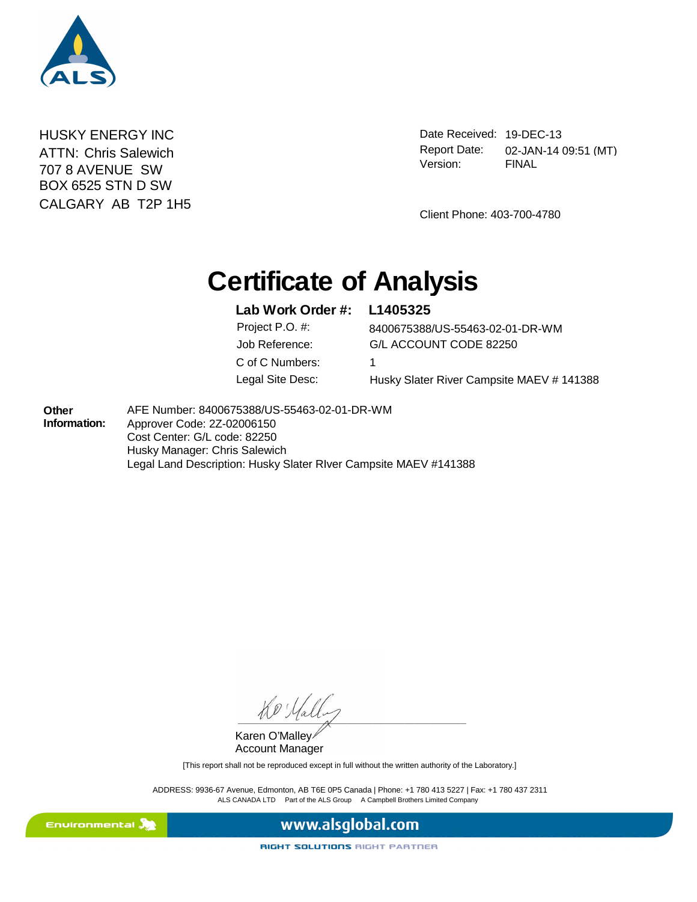

**HUSKY ENERGY INC** 707 8 AVENUE SW BOX 6525 STN D SW CALGARY AB T2P 1H5 ATTN: Chris Salewich

Date Received: 19-DEC-13 FINAL Report Date: 02-JAN-14 09:51 (MT) Version:

Client Phone: 403-700-4780

# **Certificate of Analysis**

#### **Lab Work Order #: L1405325**

C of C Numbers: 1

Job Reference: G/L ACCOUNT CODE 82250 Project P.O. #: 8400675388/US-55463-02-01-DR-WM Legal Site Desc: Husky Slater River Campsite MAEV # 141388

**Other Information:**  AFE Number: 8400675388/US-55463-02-01-DR-WM Approver Code: 2Z-02006150 Cost Center: G/L code: 82250 Husky Manager: Chris Salewich Legal Land Description: Husky Slater RIver Campsite MAEV #141388

 $\frac{1}{\sqrt{2}}$ 

Karen O'Malley Account Manager

[This report shall not be reproduced except in full without the written authority of the Laboratory.]

ALS CANADA LTD Part of the ALS Group A Campbell Brothers Limited Company ADDRESS: 9936-67 Avenue, Edmonton, AB T6E 0P5 Canada | Phone: +1 780 413 5227 | Fax: +1 780 437 2311



www.alsglobal.com

RIGHT SOLUTIONS RIGHT PARTNER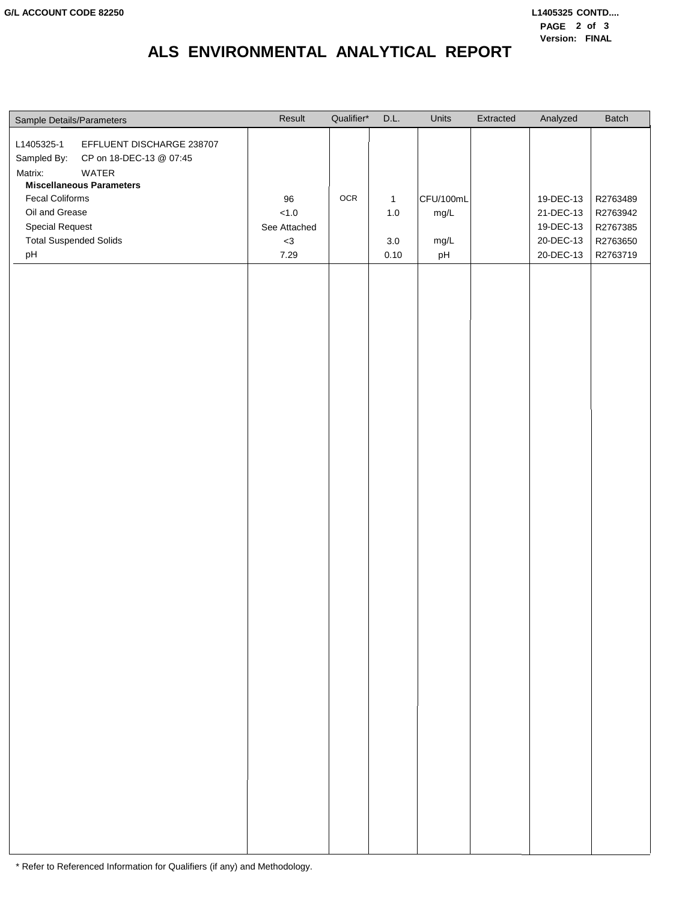## **ALS ENVIRONMENTAL ANALYTICAL REPORT**

| Sample Details/Parameters                                                                                                                                                                                                                   | Result                                           | Qualifier* | D.L.                                       | Units                           | Extracted | Analyzed                                                      | Batch                                                    |
|---------------------------------------------------------------------------------------------------------------------------------------------------------------------------------------------------------------------------------------------|--------------------------------------------------|------------|--------------------------------------------|---------------------------------|-----------|---------------------------------------------------------------|----------------------------------------------------------|
| L1405325-1<br>EFFLUENT DISCHARGE 238707<br>Sampled By: CP on 18-DEC-13 @ 07:45<br>Matrix:<br>WATER<br><b>Miscellaneous Parameters</b><br>Fecal Coliforms<br>Oil and Grease<br><b>Special Request</b><br><b>Total Suspended Solids</b><br>pH | 96<br>$<1.0\,$<br>See Attached<br>$<3\,$<br>7.29 | OCR        | $\mathbf{1}$<br>$1.0\,$<br>$3.0\,$<br>0.10 | CFU/100mL<br>mg/L<br>mg/L<br>pH |           | 19-DEC-13<br>21-DEC-13<br>19-DEC-13<br>20-DEC-13<br>20-DEC-13 | R2763489<br>R2763942<br>R2767385<br>R2763650<br>R2763719 |
|                                                                                                                                                                                                                                             |                                                  |            |                                            |                                 |           |                                                               |                                                          |

\* Refer to Referenced Information for Qualifiers (if any) and Methodology.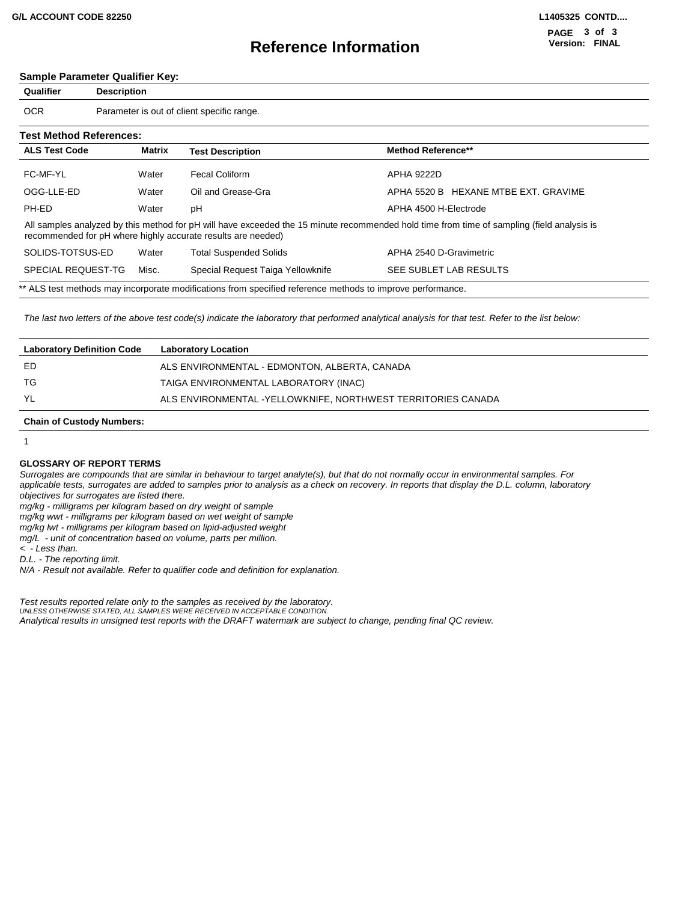### **Reference Information**

#### **Sample Parameter Qualifier Key:**

| Qualifier                      | <b>Description</b> |                                                              |                                                                                                                                            |
|--------------------------------|--------------------|--------------------------------------------------------------|--------------------------------------------------------------------------------------------------------------------------------------------|
| <b>OCR</b>                     |                    | Parameter is out of client specific range.                   |                                                                                                                                            |
| <b>Test Method References:</b> |                    |                                                              |                                                                                                                                            |
| <b>ALS Test Code</b>           | Matrix             | <b>Test Description</b>                                      | <b>Method Reference**</b>                                                                                                                  |
| FC-MF-YL                       | Water              | <b>Fecal Coliform</b>                                        | APHA 9222D                                                                                                                                 |
| OGG-LLE-ED                     | Water              | Oil and Grease-Gra                                           | APHA 5520 B HEXANE MTBE EXT. GRAVIME                                                                                                       |
| PH-ED                          | Water              | рH                                                           | APHA 4500 H-Electrode                                                                                                                      |
|                                |                    | recommended for pH where highly accurate results are needed) | All samples analyzed by this method for pH will have exceeded the 15 minute recommended hold time from time of sampling (field analysis is |
| SOLIDS-TOTSUS-ED               | Water              | <b>Total Suspended Solids</b>                                | APHA 2540 D-Gravimetric                                                                                                                    |
| SPECIAL REQUEST-TG             | Misc.              | Special Request Taiga Yellowknife                            | SEE SUBLET LAB RESULTS                                                                                                                     |
|                                |                    |                                                              | ** ALS test methods may incorporate modifications from specified reference methods to improve performance.                                 |

*The last two letters of the above test code(s) indicate the laboratory that performed analytical analysis for that test. Refer to the list below:*

| <b>Laboratory Location</b>                                   |
|--------------------------------------------------------------|
| ALS ENVIRONMENTAL - EDMONTON, ALBERTA, CANADA                |
| TAIGA ENVIRONMENTAL LABORATORY (INAC)                        |
| ALS ENVIRONMENTAL -YELLOWKNIFE, NORTHWEST TERRITORIES CANADA |
|                                                              |

#### **Chain of Custody Numbers:**

1

#### **GLOSSARY OF REPORT TERMS**

*Surrogates are compounds that are similar in behaviour to target analyte(s), but that do not normally occur in environmental samples. For applicable tests, surrogates are added to samples prior to analysis as a check on recovery. In reports that display the D.L. column, laboratory objectives for surrogates are listed there.*

*mg/kg - milligrams per kilogram based on dry weight of sample*

*mg/kg wwt - milligrams per kilogram based on wet weight of sample*

*mg/kg lwt - milligrams per kilogram based on lipid-adjusted weight* 

*mg/L - unit of concentration based on volume, parts per million.*

*< - Less than.*

*D.L. - The reporting limit.*

*N/A - Result not available. Refer to qualifier code and definition for explanation.*

*Test results reported relate only to the samples as received by the laboratory. UNLESS OTHERWISE STATED, ALL SAMPLES WERE RECEIVED IN ACCEPTABLE CONDITION. Analytical results in unsigned test reports with the DRAFT watermark are subject to change, pending final QC review.*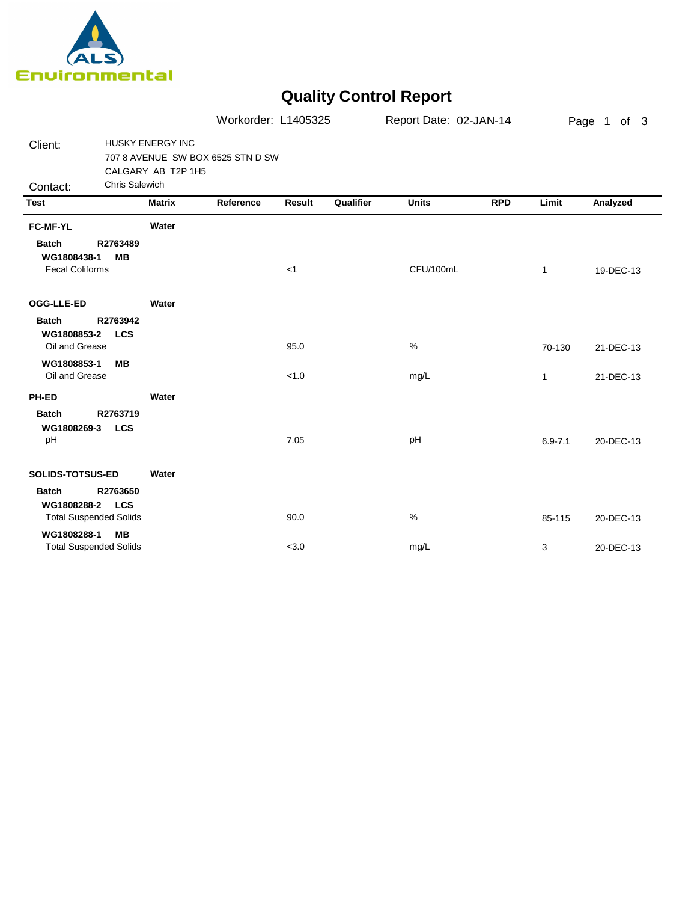

## **Quality Control Report**

|                                                                                        |                                               | Workorder: L1405325               |        |           | Report Date: 02-JAN-14 |            |              | Page 1 of 3 |
|----------------------------------------------------------------------------------------|-----------------------------------------------|-----------------------------------|--------|-----------|------------------------|------------|--------------|-------------|
| Client:                                                                                | <b>HUSKY ENERGY INC</b><br>CALGARY AB T2P 1H5 | 707 8 AVENUE SW BOX 6525 STN D SW |        |           |                        |            |              |             |
| <b>Chris Salewich</b><br>Contact:                                                      |                                               |                                   |        |           |                        |            |              |             |
| <b>Test</b>                                                                            | <b>Matrix</b>                                 | Reference                         | Result | Qualifier | <b>Units</b>           | <b>RPD</b> | Limit        | Analyzed    |
| <b>FC-MF-YL</b>                                                                        | Water                                         |                                   |        |           |                        |            |              |             |
| <b>Batch</b><br>R2763489<br>WG1808438-1<br><b>MB</b><br><b>Fecal Coliforms</b>         |                                               |                                   | $<$ 1  |           | CFU/100mL              |            | 1            | 19-DEC-13   |
| OGG-LLE-ED                                                                             | Water                                         |                                   |        |           |                        |            |              |             |
| <b>Batch</b><br>R2763942<br>WG1808853-2<br><b>LCS</b><br>Oil and Grease                |                                               |                                   | 95.0   |           | %                      |            | 70-130       | 21-DEC-13   |
| WG1808853-1<br><b>MB</b><br>Oil and Grease                                             |                                               |                                   | < 1.0  |           | mg/L                   |            | $\mathbf{1}$ | 21-DEC-13   |
| PH-ED                                                                                  | Water                                         |                                   |        |           |                        |            |              |             |
| R2763719<br><b>Batch</b><br>WG1808269-3<br><b>LCS</b><br>pH                            |                                               |                                   | 7.05   |           | pH                     |            | $6.9 - 7.1$  | 20-DEC-13   |
| SOLIDS-TOTSUS-ED                                                                       | Water                                         |                                   |        |           |                        |            |              |             |
| R2763650<br><b>Batch</b><br><b>LCS</b><br>WG1808288-2<br><b>Total Suspended Solids</b> |                                               |                                   | 90.0   |           | $\frac{0}{0}$          |            | 85-115       | 20-DEC-13   |
| WG1808288-1<br><b>MB</b><br><b>Total Suspended Solids</b>                              |                                               |                                   | < 3.0  |           | mg/L                   |            | 3            | 20-DEC-13   |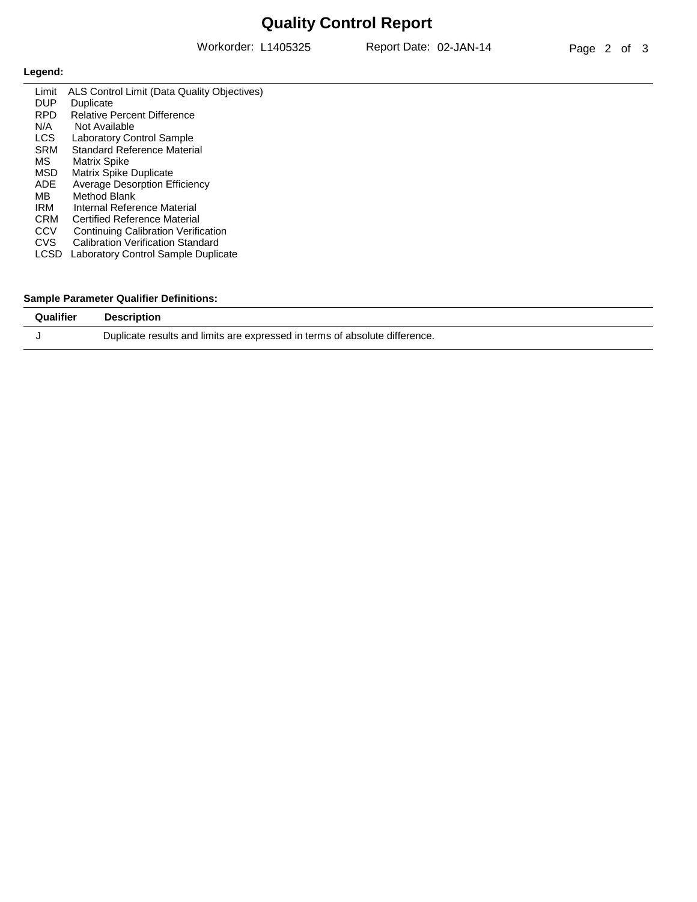## **Quality Control Report**

Workorder: L1405325 Report Date: 02-JAN-14

### **Legend:**

| Limit      | ALS Control Limit (Data Quality Objectives) |
|------------|---------------------------------------------|
| <b>DUP</b> | Duplicate                                   |
| <b>RPD</b> | <b>Relative Percent Difference</b>          |
| N/A        | Not Available                               |
| LCS.       | <b>Laboratory Control Sample</b>            |
| <b>SRM</b> | Standard Reference Material                 |
| MS.        | Matrix Spike                                |
| <b>MSD</b> | Matrix Spike Duplicate                      |
| ADE.       | <b>Average Desorption Efficiency</b>        |
| MB.        | Method Blank                                |
| IRM        | Internal Reference Material                 |
| <b>CRM</b> | Certified Reference Material                |
| <b>CCV</b> | <b>Continuing Calibration Verification</b>  |
| CVS.       | Calibration Verification Standard           |
| LCSD       | Laboratory Control Sample Duplicate         |
|            |                                             |

#### **Sample Parameter Qualifier Definitions:**

| Qualifier | <b>Description</b>                                                          |
|-----------|-----------------------------------------------------------------------------|
|           | Duplicate results and limits are expressed in terms of absolute difference. |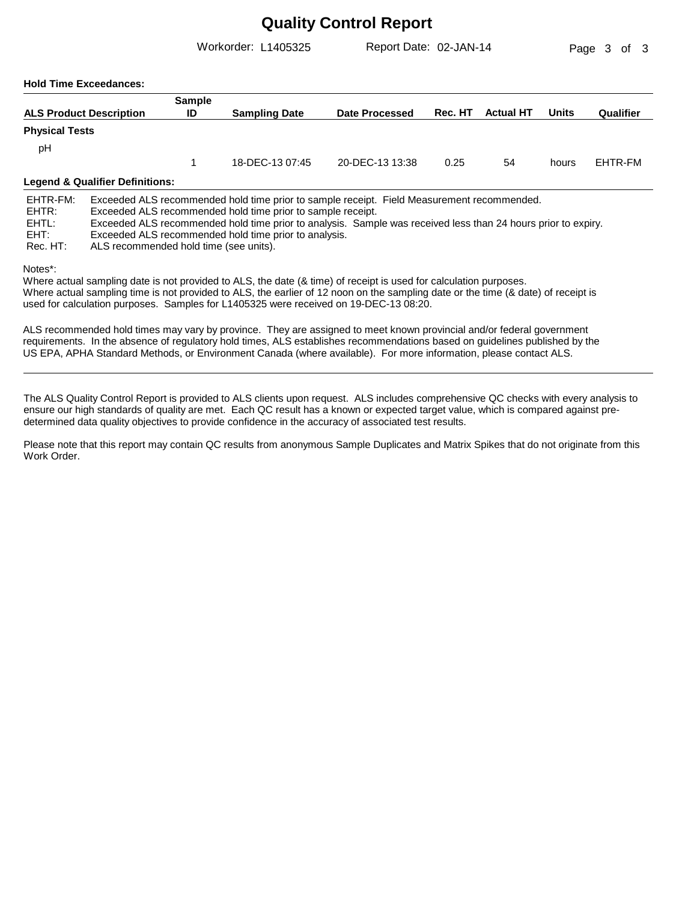### **Quality Control Report**

Exceeded ALS recommended hold time prior to analysis.

ALS recommended hold time (see units).

Workorder: L1405325 Report Date: 02-JAN-14

Page 3 of 3

#### **Hold Time Exceedances:**

|                            |                                 | <b>Sample</b> |                                                                                                                                                                                                                                                                            |                 |         |                  |       |           |
|----------------------------|---------------------------------|---------------|----------------------------------------------------------------------------------------------------------------------------------------------------------------------------------------------------------------------------------------------------------------------------|-----------------|---------|------------------|-------|-----------|
|                            | <b>ALS Product Description</b>  | ID            | <b>Sampling Date</b>                                                                                                                                                                                                                                                       | Date Processed  | Rec. HT | <b>Actual HT</b> | Units | Qualifier |
| <b>Physical Tests</b>      |                                 |               |                                                                                                                                                                                                                                                                            |                 |         |                  |       |           |
| pH                         |                                 |               |                                                                                                                                                                                                                                                                            |                 |         |                  |       |           |
|                            |                                 |               | 18-DEC-13 07:45                                                                                                                                                                                                                                                            | 20-DEC-13 13:38 | 0.25    | 54               | hours | EHTR-FM   |
|                            | Legend & Qualifier Definitions: |               |                                                                                                                                                                                                                                                                            |                 |         |                  |       |           |
| EHTR-FM:<br>EHTR:<br>EHTL: |                                 |               | Exceeded ALS recommended hold time prior to sample receipt. Field Measurement recommended.<br>Exceeded ALS recommended hold time prior to sample receipt.<br>Exceeded ALS recommended hold time prior to analysis. Sample was received less than 24 hours prior to expiry. |                 |         |                  |       |           |

Notes\*:

EHT: Rec. HT:

Where actual sampling date is not provided to ALS, the date (& time) of receipt is used for calculation purposes. Where actual sampling time is not provided to ALS, the earlier of 12 noon on the sampling date or the time (& date) of receipt is used for calculation purposes. Samples for L1405325 were received on 19-DEC-13 08:20.

ALS recommended hold times may vary by province. They are assigned to meet known provincial and/or federal government requirements. In the absence of regulatory hold times, ALS establishes recommendations based on guidelines published by the US EPA, APHA Standard Methods, or Environment Canada (where available). For more information, please contact ALS.

The ALS Quality Control Report is provided to ALS clients upon request. ALS includes comprehensive QC checks with every analysis to ensure our high standards of quality are met. Each QC result has a known or expected target value, which is compared against predetermined data quality objectives to provide confidence in the accuracy of associated test results.

Please note that this report may contain QC results from anonymous Sample Duplicates and Matrix Spikes that do not originate from this Work Order.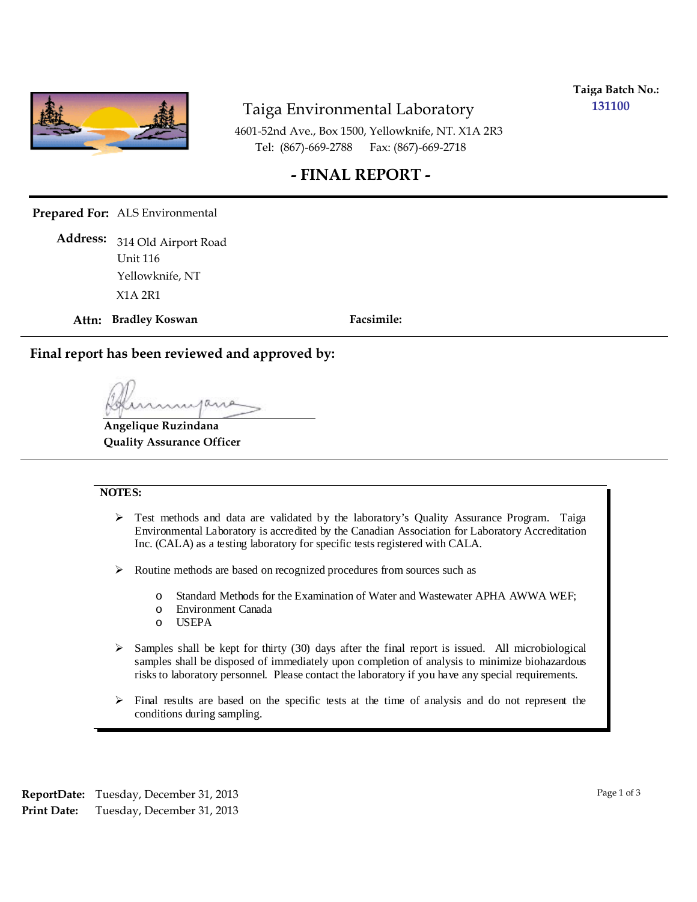

### Taiga Environmental Laboratory

**Taiga Batch No.: 131100**

4601-52nd Ave., Box 1500, Yellowknife, NT. X1A 2R3 Tel: (867)-669-2788 Fax: (867)-669-2718

### **- FINAL REPORT -**

**Prepared For:** ALS Environmental

314 Old Airport Road **Address:** Unit 116 X1A 2R1 Yellowknife, NT

**Attn: Bradley Koswan**

**Facsimile:**

**Final report has been reviewed and approved by:**

**Angelique Ruzindana Quality Assurance Officer**

#### **NOTES:**

- $\triangleright$  Test methods and data are validated by the laboratory's Quality Assurance Program. Taiga Environmental Laboratory is accredited by the Canadian Association for Laboratory Accreditation Inc. (CALA) as a testing laboratory for specific tests registered with CALA.
- Routine methods are based on recognized procedures from sources such as
	- o Standard Methods for the Examination of Water and Wastewater APHA AWWA WEF;
	- o Environment Canada
	- o USEPA
- $\triangleright$  Samples shall be kept for thirty (30) days after the final report is issued. All microbiological samples shall be disposed of immediately upon completion of analysis to minimize biohazardous risks to laboratory personnel. Please contact the laboratory if you have any special requirements.
- $\triangleright$  Final results are based on the specific tests at the time of analysis and do not represent the conditions during sampling.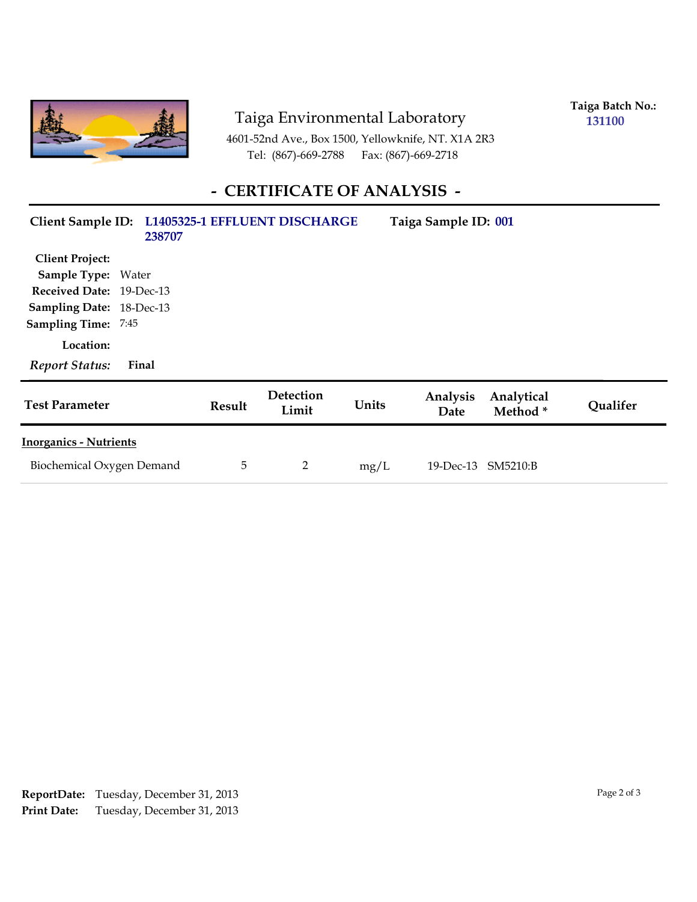

## Taiga Environmental Laboratory

**Taiga Batch No.: 131100**

4601-52nd Ave., Box 1500, Yellowknife, NT. X1A 2R3 Tel: (867)-669-2788 Fax: (867)-669-2718

## **- CERTIFICATE OF ANALYSIS -**

| Client Sample ID: L1405325-1 EFFLUENT DISCHARGE | 238707 |               |                    |       | Taiga Sample ID: 001 |                       |          |
|-------------------------------------------------|--------|---------------|--------------------|-------|----------------------|-----------------------|----------|
| <b>Client Project:</b>                          |        |               |                    |       |                      |                       |          |
| <b>Sample Type: Water</b>                       |        |               |                    |       |                      |                       |          |
| Received Date: 19-Dec-13                        |        |               |                    |       |                      |                       |          |
| Sampling Date: 18-Dec-13                        |        |               |                    |       |                      |                       |          |
| <b>Sampling Time: 7:45</b>                      |        |               |                    |       |                      |                       |          |
| Location:                                       |        |               |                    |       |                      |                       |          |
| <b>Report Status:</b>                           | Final  |               |                    |       |                      |                       |          |
| <b>Test Parameter</b>                           |        | <b>Result</b> | Detection<br>Limit | Units | Analysis<br>Date     | Analytical<br>Method* | Qualifer |
| <b>Inorganics - Nutrients</b>                   |        |               |                    |       |                      |                       |          |
| Biochemical Oxygen Demand                       |        | 5             | 2                  | mg/L  | 19-Dec-13 SM5210:B   |                       |          |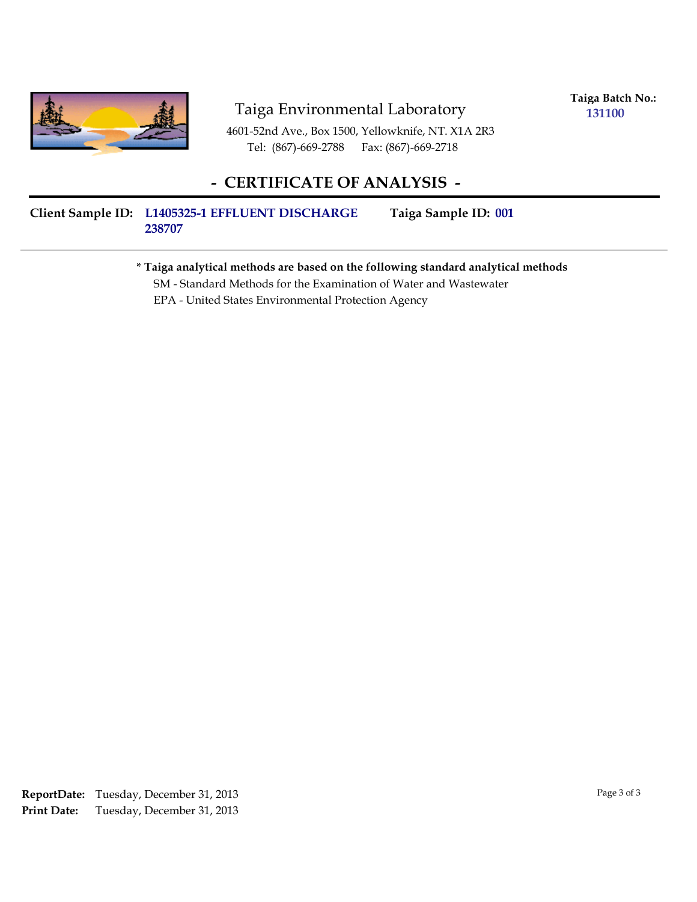

### Taiga Environmental Laboratory

**Taiga Batch No.: 131100**

4601-52nd Ave., Box 1500, Yellowknife, NT. X1A 2R3 Tel: (867)-669-2788 Fax: (867)-669-2718

### **- CERTIFICATE OF ANALYSIS -**

#### **Client Sample ID: Taiga Sample ID: L1405325-1 EFFLUENT DISCHARGE 238707** Taiga Sample ID: 001

#### **\* Taiga analytical methods are based on the following standard analytical methods**

SM - Standard Methods for the Examination of Water and Wastewater

EPA - United States Environmental Protection Agency

Tuesday, December 31, 2013 **Print Date: ReportDate:** Tuesday, December 31, 2013